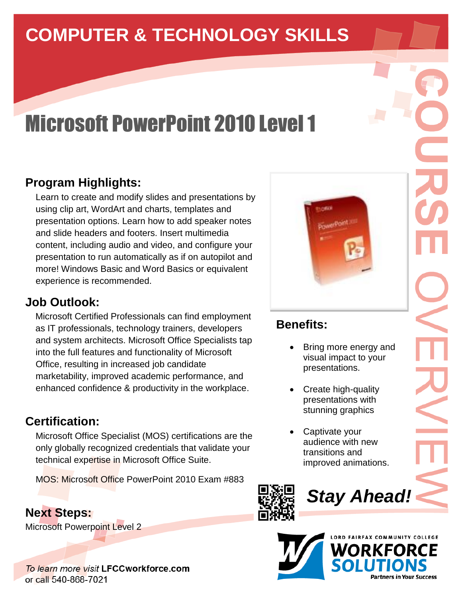# **COMPUTER & TECHNOLOGY SKILLS**

# Microsoft PowerPoint 2010 Level 1

# **Program Highlights:**

Learn to create and modify slides and presentations by using clip art, WordArt and charts, templates and presentation options. Learn how to add speaker notes and slide headers and footers. Insert multimedia content, including audio and video, and configure your presentation to run automatically as if on autopilot and more! Windows Basic and Word Basics or equivalent experience is recommended.

#### **Job Outlook:**

 Microsoft Certified Professionals can find employment as IT professionals, technology trainers, developers and system architects. Microsoft Office Specialists tap into the full features and functionality of Microsoft Office, resulting in increased job candidate marketability, improved academic performance, and enhanced confidence & productivity in the workplace.

#### **Certification:**

Microsoft Office Specialist (MOS) certifications are the only globally recognized credentials that validate your technical expertise in Microsoft Office Suite.

MOS: Microsoft Office PowerPoint 2010 Exam #883

#### **Next Steps:**

Microsoft Powerpoint Level 2

To learn more visit LFCCworkforce.com or call 540-868-7021



# **Benefits:**

- Bring more energy and visual impact to your presentations.
- Create high-quality presentations with stunning graphics
- Captivate your audience with new transitions and improved animations.



*Stay Ahead!*